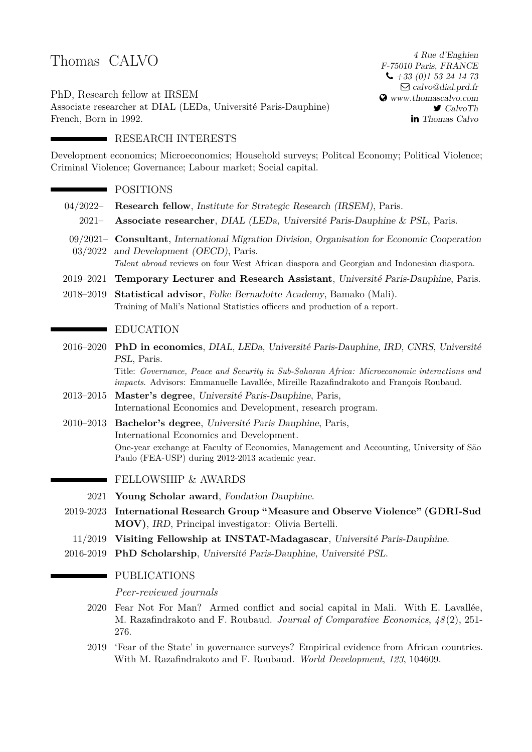# Thomas CALVO

PhD, Research fellow at IRSEM Associate researcher at DIAL (LEDa, Université Paris-Dauphine) French, Born in 1992.

4 Rue d'Enghien F-75010 Paris, FRANCE  $\bigcup$  +33 (0)1 53 24 14 73  $\boxtimes$  [calvo@dial.prd.fr](mailto:calvo@dial.prd.fr) [www.thomascalvo.com](http://www.thomascalvo.com)  $\blacktriangleright$  [CalvoTh](http://www.twitter.com/calvoth) in [Thomas Calvo](http://www.linkedin.com/in/thomas-calvo-84004795)

# **RESEARCH INTERESTS**

Development economics; Microeconomics; Household surveys; Politcal Economy; Political Violence; Criminal Violence; Governance; Labour market; Social capital.

# **POSITIONS**

- 04/2022– **Research fellow**, Institute for Strategic Research (IRSEM), Paris.
	- 2021– **Associate researcher**, DIAL (LEDa, Université Paris-Dauphine & PSL, Paris.
- 09/2021– **Consultant**, International Migration Division, Organisation for Economic Cooperation 03/2022 and Development (OECD), Paris.
- *Talent abroad* reviews on four West African diaspora and Georgian and Indonesian diaspora.
- 2019–2021 **Temporary Lecturer and Research Assistant**, Université Paris-Dauphine, Paris.
- 2018–2019 **Statistical advisor**, Folke Bernadotte Academy, Bamako (Mali). Training of Mali's National Statistics officers and production of a report.

# **EDUCATION**

2016–2020 **PhD in economics**, DIAL, LEDa, Université Paris-Dauphine, IRD, CNRS, Université PSL, Paris.

> Title: *Governance, Peace and Security in Sub-Saharan Africa: Microeconomic interactions and impacts*. Advisors: Emmanuelle Lavallée, Mireille Razafindrakoto and François Roubaud.

- 2013–2015 **Master's degree**, Université Paris-Dauphine, Paris, International Economics and Development, research program.
- 2010–2013 **Bachelor's degree**, Université Paris Dauphine, Paris, International Economics and Development. One-year exchange at Faculty of Economics, Management and Accounting, University of São Paulo (FEA-USP) during 2012-2013 academic year.

### FELLOWSHIP & AWARDS

- 2021 **Young Scholar award**, Fondation Dauphine.
- 2019-2023 **International Research Group "Measure and Observe Violence" (GDRI-Sud MOV)**, IRD, Principal investigator: Olivia Bertelli.
- 11/2019 **Visiting Fellowship at INSTAT-Madagascar**, Université Paris-Dauphine.
- 2016-2019 **PhD Scholarship**, Université Paris-Dauphine, Université PSL.

### **PUBLICATIONS**

*Peer-reviewed journals*

- 2020 Fear Not For Man? Armed conflict and social capital in Mali. With E. Lavallée, M. Razafindrakoto and F. Roubaud. *Journal of Comparative Economics*, *48* (2), 251- 276.
- 2019 'Fear of the State' in governance surveys? Empirical evidence from African countries. With M. Razafindrakoto and F. Roubaud. *World Development*, *123*, 104609.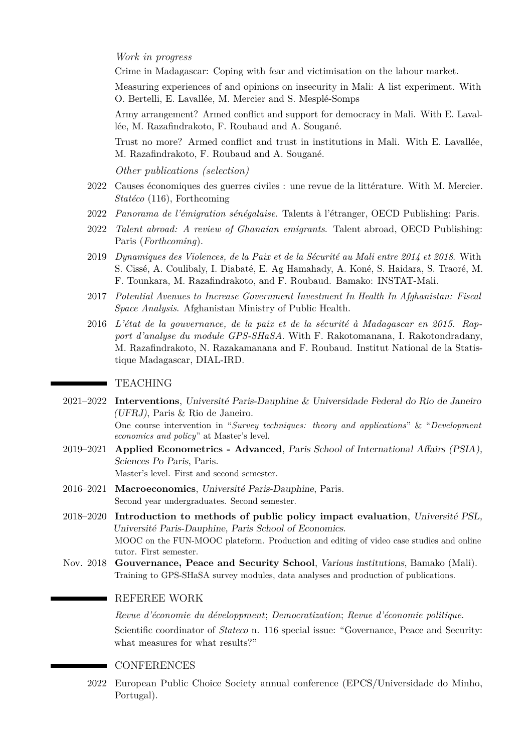*Work in progress*

Crime in Madagascar: Coping with fear and victimisation on the labour market.

Measuring experiences of and opinions on insecurity in Mali: A list experiment. With O. Bertelli, E. Lavallée, M. Mercier and S. Mesplé-Somps

Army arrangement? Armed conflict and support for democracy in Mali. With E. Lavallée, M. Razafindrakoto, F. Roubaud and A. Sougané.

Trust no more? Armed conflict and trust in institutions in Mali. With E. Lavallée, M. Razafindrakoto, F. Roubaud and A. Sougané.

*Other publications (selection)*

- 2022 Causes économiques des guerres civiles : une revue de la littérature. With M. Mercier. *Statéco* (116), Forthcoming
- 2022 *Panorama de l'émigration sénégalaise*. Talents à l'étranger, OECD Publishing: Paris.
- 2022 *Talent abroad: A review of Ghanaian emigrants*. Talent abroad, OECD Publishing: Paris (*Forthcoming*).
- 2019 *Dynamiques des Violences, de la Paix et de la Sécurité au Mali entre 2014 et 2018*. With S. Cissé, A. Coulibaly, I. Diabaté, E. Ag Hamahady, A. Koné, S. Haidara, S. Traoré, M. F. Tounkara, M. Razafindrakoto, and F. Roubaud. Bamako: INSTAT-Mali.
- 2017 *Potential Avenues to Increase Government Investment In Health In Afghanistan: Fiscal Space Analysis*. Afghanistan Ministry of Public Health.
- 2016 *L'état de la gouvernance, de la paix et de la sécurité à Madagascar en 2015. Rapport d'analyse du module GPS-SHaSA*. With F. Rakotomanana, I. Rakotondradany, M. Razafindrakoto, N. Razakamanana and F. Roubaud. Institut National de la Statistique Madagascar, DIAL-IRD.

#### TEACHING

- 2021–2022 **Interventions**, Université Paris-Dauphine & Universidade Federal do Rio de Janeiro (UFRJ), Paris & Rio de Janeiro. One course intervention in "*Survey techniques: theory and applications*" & "*Development economics and policy*" at Master's level.
- 2019–2021 **Applied Econometrics Advanced**, Paris School of International Affairs (PSIA), Sciences Po Paris, Paris. Master's level. First and second semester.
- 2016–2021 **Macroeconomics**, Université Paris-Dauphine, Paris. Second year undergraduates. Second semester.
- 2018–2020 **Introduction to methods of public policy impact evaluation**, Université PSL, Université Paris-Dauphine, Paris School of Economics. MOOC on the FUN-MOOC plateform. Production and editing of video case studies and online tutor. First semester.
- Nov. 2018 **Gouvernance, Peace and Security School**, Various institutions, Bamako (Mali). Training to GPS-SHaSA survey modules, data analyses and production of publications.

#### REFEREE WORK

*Revue d'économie du développment*; *Democratization*; *Revue d'économie politique*. Scientific coordinator of *Stateco* n. 116 special issue: "Governance, Peace and Security: what measures for what results?"

#### **CONFERENCES**

2022 European Public Choice Society annual conference (EPCS/Universidade do Minho, Portugal).